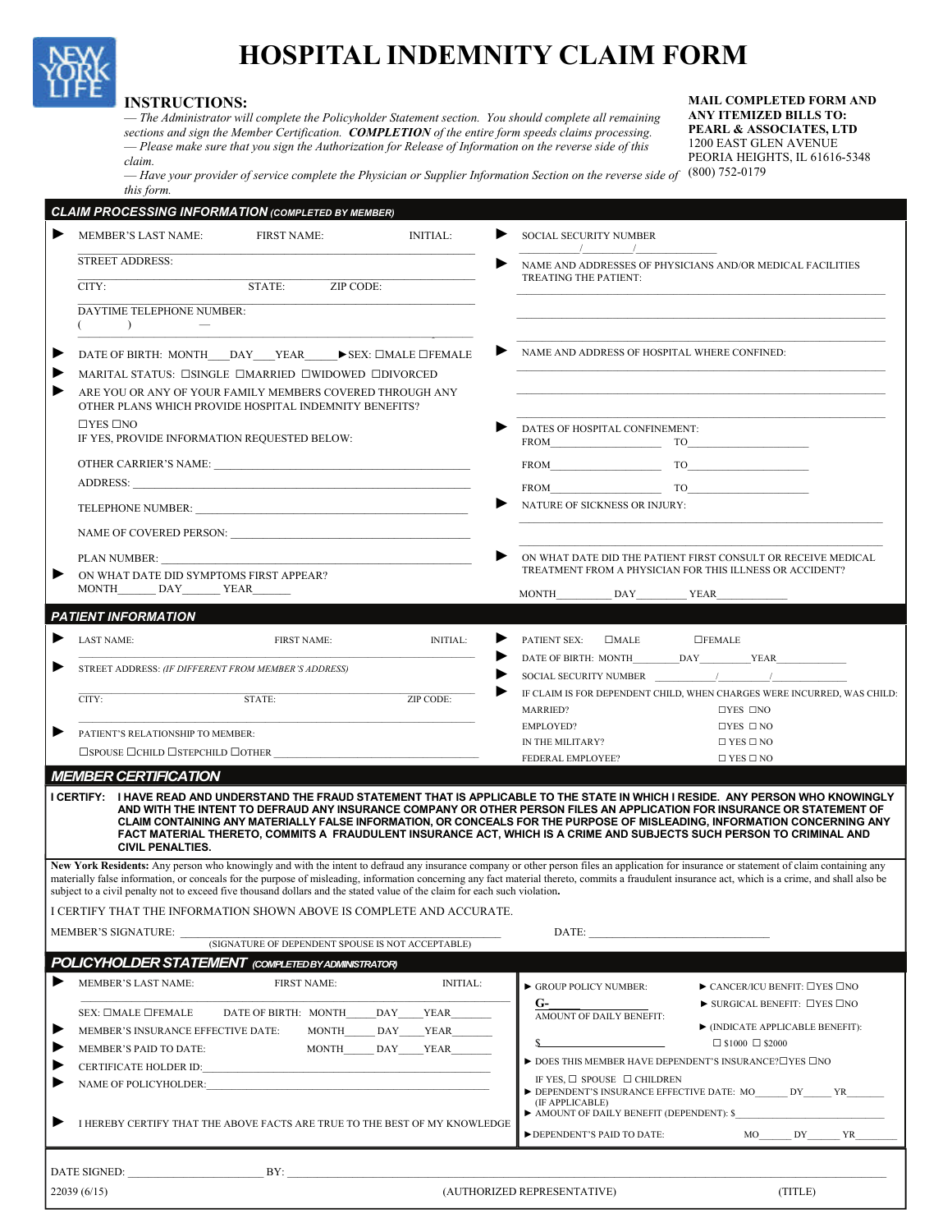

## **HOSPITAL INDEMNITY CLAIM FORM**

## **INSTRUCTIONS:**

— *The Administrator will complete the Policyholder Statement section. You should complete all remaining sections and sign the Member Certification. COMPLETION of the entire form speeds claims processing.*  — *Please make sure that you sign the Authorization for Release of Information on the reverse side of this claim.* 

**MAIL COMPLETED FORM AND ANY ITEMIZED BILLS TO: PEARL & ASSOCIATES, LTD**  1200 EAST GLEN AVENUE PEORIA HEIGHTS, IL 61616-5348

— *Have your provider of service complete the Physician or Supplier Information Section on the reverse side of*  (800) 752-0179 *this form.* 

| <b>CLAIM PROCESSING INFORMATION (COMPLETED BY MEMBER)</b>                                                                 |                                                                                                                                                                                     |                  |                                                          |                                                                                                                                                                                                                                                                                                                                                                                                                                                                                                                      |
|---------------------------------------------------------------------------------------------------------------------------|-------------------------------------------------------------------------------------------------------------------------------------------------------------------------------------|------------------|----------------------------------------------------------|----------------------------------------------------------------------------------------------------------------------------------------------------------------------------------------------------------------------------------------------------------------------------------------------------------------------------------------------------------------------------------------------------------------------------------------------------------------------------------------------------------------------|
| ▶<br><b>MEMBER'S LAST NAME:</b>                                                                                           | <b>FIRST NAME:</b>                                                                                                                                                                  | <b>INITIAL:</b>  | ▶<br>SOCIAL SECURITY NUMBER<br>$\sqrt{1}$                |                                                                                                                                                                                                                                                                                                                                                                                                                                                                                                                      |
| <b>STREET ADDRESS:</b>                                                                                                    |                                                                                                                                                                                     |                  | TREATING THE PATIENT:                                    | NAME AND ADDRESSES OF PHYSICIANS AND/OR MEDICAL FACILITIES                                                                                                                                                                                                                                                                                                                                                                                                                                                           |
| CITY:                                                                                                                     | STATE: ZIP CODE:                                                                                                                                                                    |                  |                                                          |                                                                                                                                                                                                                                                                                                                                                                                                                                                                                                                      |
| DAYTIME TELEPHONE NUMBER:<br>$\left( \begin{array}{c} \end{array} \right)$<br>$\overline{\phantom{a}}$                    |                                                                                                                                                                                     |                  |                                                          |                                                                                                                                                                                                                                                                                                                                                                                                                                                                                                                      |
| ▶<br>DATE OF BIRTH: MONTH DAY YEAR ▶ SEX: □MALE □FEMALE                                                                   |                                                                                                                                                                                     |                  | NAME AND ADDRESS OF HOSPITAL WHERE CONFINED:             |                                                                                                                                                                                                                                                                                                                                                                                                                                                                                                                      |
| ▶                                                                                                                         | MARITAL STATUS: <b>CONNOLE CONTRACTED CONDOWED CONVORCED</b><br>ARE YOU OR ANY OF YOUR FAMILY MEMBERS COVERED THROUGH ANY<br>OTHER PLANS WHICH PROVIDE HOSPITAL INDEMNITY BENEFITS? |                  |                                                          |                                                                                                                                                                                                                                                                                                                                                                                                                                                                                                                      |
| $\Box$ YES $\Box$ NO<br>IF YES, PROVIDE INFORMATION REQUESTED BELOW:                                                      |                                                                                                                                                                                     |                  | DATES OF HOSPITAL CONFINEMENT:<br>$T0$ TO                |                                                                                                                                                                                                                                                                                                                                                                                                                                                                                                                      |
|                                                                                                                           |                                                                                                                                                                                     |                  |                                                          |                                                                                                                                                                                                                                                                                                                                                                                                                                                                                                                      |
|                                                                                                                           |                                                                                                                                                                                     |                  | $T$ O                                                    |                                                                                                                                                                                                                                                                                                                                                                                                                                                                                                                      |
|                                                                                                                           |                                                                                                                                                                                     |                  | <b>NATURE OF SICKNESS OR INJURY:</b>                     |                                                                                                                                                                                                                                                                                                                                                                                                                                                                                                                      |
|                                                                                                                           |                                                                                                                                                                                     |                  |                                                          |                                                                                                                                                                                                                                                                                                                                                                                                                                                                                                                      |
| PLAN NUMBER:                                                                                                              |                                                                                                                                                                                     |                  |                                                          | ON WHAT DATE DID THE PATIENT FIRST CONSULT OR RECEIVE MEDICAL<br>TREATMENT FROM A PHYSICIAN FOR THIS ILLNESS OR ACCIDENT?                                                                                                                                                                                                                                                                                                                                                                                            |
| ON WHAT DATE DID SYMPTOMS FIRST APPEAR?<br>MONTH DAY YEAR                                                                 |                                                                                                                                                                                     |                  | MONTH DAY YEAR                                           |                                                                                                                                                                                                                                                                                                                                                                                                                                                                                                                      |
| <b>PATIENT INFORMATION</b>                                                                                                |                                                                                                                                                                                     |                  |                                                          |                                                                                                                                                                                                                                                                                                                                                                                                                                                                                                                      |
|                                                                                                                           |                                                                                                                                                                                     |                  | PATIENT SEX: □MALE                                       | $DFEMALE$                                                                                                                                                                                                                                                                                                                                                                                                                                                                                                            |
| <b>LAST NAME:</b>                                                                                                         | <b>FIRST NAME:</b>                                                                                                                                                                  | <b>INITIAL:</b>  |                                                          |                                                                                                                                                                                                                                                                                                                                                                                                                                                                                                                      |
| STREET ADDRESS: (IF DIFFERENT FROM MEMBER'S ADDRESS)                                                                      |                                                                                                                                                                                     |                  | SOCIAL SECURITY NUMBER                                   |                                                                                                                                                                                                                                                                                                                                                                                                                                                                                                                      |
| $\overline{\text{CITY}}$ :                                                                                                | STATE:                                                                                                                                                                              | <b>ZIP CODE:</b> | MARRIED?                                                 | IF CLAIM IS FOR DEPENDENT CHILD, WHEN CHARGES WERE INCURRED, WAS CHILD:<br>$\Box$ YES $\Box$ NO                                                                                                                                                                                                                                                                                                                                                                                                                      |
| PATIENT'S RELATIONSHIP TO MEMBER:                                                                                         |                                                                                                                                                                                     |                  | <b>EMPLOYED?</b>                                         | $\Box$ YES $\Box$ NO                                                                                                                                                                                                                                                                                                                                                                                                                                                                                                 |
| $\square$ spouse $\square$ child $\square$ stepchild $\square$ other                                                      |                                                                                                                                                                                     |                  | IN THE MILITARY?                                         | $\Box$ YES $\Box$ NO                                                                                                                                                                                                                                                                                                                                                                                                                                                                                                 |
| <b>MEMBER CERTIFICATION</b>                                                                                               |                                                                                                                                                                                     |                  | FEDERAL EMPLOYEE?                                        | $\Box$ YES $\Box$ NO                                                                                                                                                                                                                                                                                                                                                                                                                                                                                                 |
| <b>CIVIL PENALTIES.</b>                                                                                                   |                                                                                                                                                                                     |                  |                                                          | I CERTIFY: I HAVE READ AND UNDERSTAND THE FRAUD STATEMENT THAT IS APPLICABLE TO THE STATE IN WHICH I RESIDE. ANY PERSON WHO KNOWINGLY<br>AND WITH THE INTENT TO DEFRAUD ANY INSURANCE COMPANY OR OTHER PERSON FILES AN APPLICATION FOR INSURANCE OR STATEMENT OF<br>CLAIM CONTAINING ANY MATERIALLY FALSE INFORMATION, OR CONCEALS FOR THE PURPOSE OF MISLEADING, INFORMATION CONCERNING ANY<br>FACT MATERIAL THERETO, COMMITS A FRAUDULENT INSURANCE ACT, WHICH IS A CRIME AND SUBJECTS SUCH PERSON TO CRIMINAL AND |
| subject to a civil penalty not to exceed five thousand dollars and the stated value of the claim for each such violation. |                                                                                                                                                                                     |                  |                                                          | New York Residents: Any person who knowingly and with the intent to defraud any insurance company or other person files an application for insurance or statement of claim containing any<br>materially false information, or conceals for the purpose of misleading, information concerning any fact material thereto, commits a fraudulent insurance act, which is a crime, and shall also be                                                                                                                      |
| I CERTIFY THAT THE INFORMATION SHOWN ABOVE IS COMPLETE AND ACCURATE.                                                      |                                                                                                                                                                                     |                  |                                                          |                                                                                                                                                                                                                                                                                                                                                                                                                                                                                                                      |
| MEMBER'S SIGNATURE:                                                                                                       | (SIGNATURE OF DEPENDENT SPOUSE IS NOT ACCEPTABLE)                                                                                                                                   |                  | DATE:                                                    |                                                                                                                                                                                                                                                                                                                                                                                                                                                                                                                      |
| <b>POLICYHOLDER STATEMENT</b> (COMPLETED BY ADMINISTRATOR)                                                                |                                                                                                                                                                                     |                  |                                                          |                                                                                                                                                                                                                                                                                                                                                                                                                                                                                                                      |
| <b>MEMBER'S LAST NAME:</b>                                                                                                | <b>FIRST NAME:</b>                                                                                                                                                                  | <b>INITIAL:</b>  | GROUP POLICY NUMBER:                                     | $\triangleright$ CANCER/ICU BENFIT: $\square$ YES $\square$ NO                                                                                                                                                                                                                                                                                                                                                                                                                                                       |
| SEX: <b>OMALE OFEMALE</b>                                                                                                 | DATE OF BIRTH: MONTH                                                                                                                                                                | DAY YEAR         | G-<br>AMOUNT OF DAILY BENEFIT:                           | $\triangleright$ SURGICAL BENEFIT: $\square$ YES $\square$ NO                                                                                                                                                                                                                                                                                                                                                                                                                                                        |
| ▶<br>MEMBER'S INSURANCE EFFECTIVE DATE:                                                                                   |                                                                                                                                                                                     | MONTH DAY YEAR   |                                                          | ▶ (INDICATE APPLICABLE BENEFIT):                                                                                                                                                                                                                                                                                                                                                                                                                                                                                     |
| ▶<br>MEMBER'S PAID TO DATE:                                                                                               |                                                                                                                                                                                     | MONTH DAY YEAR   |                                                          | $\Box$ \$1000 $\Box$ \$2000                                                                                                                                                                                                                                                                                                                                                                                                                                                                                          |
| ▶                                                                                                                         |                                                                                                                                                                                     |                  |                                                          | $\blacktriangleright$ DOES THIS MEMBER HAVE DEPENDENT'S INSURANCE? $\square$ YES $\square$ NO                                                                                                                                                                                                                                                                                                                                                                                                                        |
| ▶                                                                                                                         | NAME OF POLICYHOLDER:                                                                                                                                                               |                  | IF YES, $\Box$ SPOUSE $\Box$ CHILDREN<br>(IF APPLICABLE) | DEPENDENT'S INSURANCE EFFECTIVE DATE: MO DY DY YR                                                                                                                                                                                                                                                                                                                                                                                                                                                                    |
| ▶<br>I HEREBY CERTIFY THAT THE ABOVE FACTS ARE TRUE TO THE BEST OF MY KNOWLEDGE                                           |                                                                                                                                                                                     |                  | DEPENDENT'S PAID TO DATE:                                | AMOUNT OF DAILY BENEFIT (DEPENDENT): \$<br>$MO$ $DY$ $YR$                                                                                                                                                                                                                                                                                                                                                                                                                                                            |
|                                                                                                                           |                                                                                                                                                                                     |                  |                                                          |                                                                                                                                                                                                                                                                                                                                                                                                                                                                                                                      |
| DATE SIGNED: BY:                                                                                                          |                                                                                                                                                                                     |                  |                                                          |                                                                                                                                                                                                                                                                                                                                                                                                                                                                                                                      |
| 22039(6/15)                                                                                                               |                                                                                                                                                                                     |                  | (AUTHORIZED REPRESENTATIVE)                              | (TITLE)                                                                                                                                                                                                                                                                                                                                                                                                                                                                                                              |